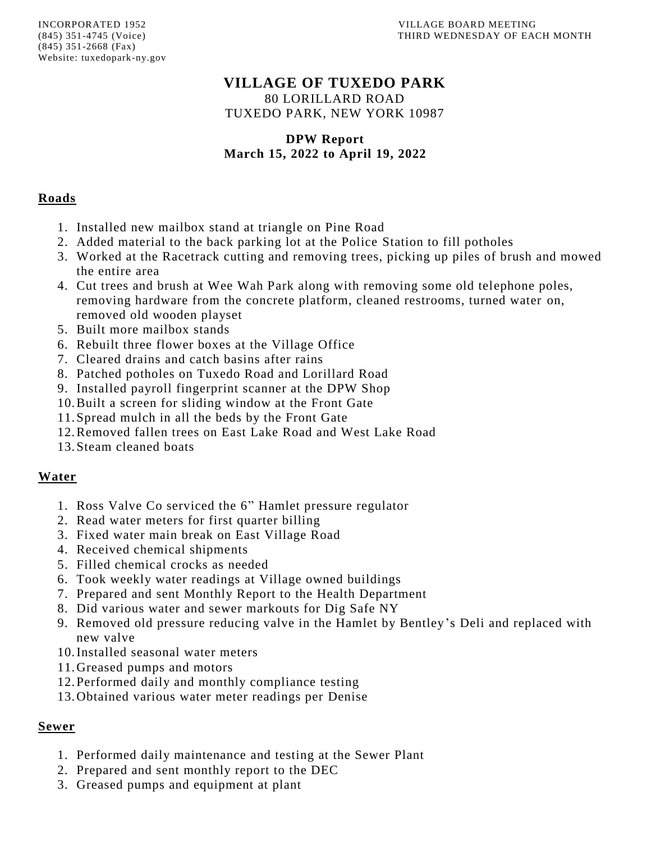# **VILLAGE OF TUXEDO PARK**

80 LORILLARD ROAD TUXEDO PARK, NEW YORK 10987

#### **DPW Report March 15, 2022 to April 19, 2022**

### **Roads**

- 1. Installed new mailbox stand at triangle on Pine Road
- 2. Added material to the back parking lot at the Police Station to fill potholes
- 3. Worked at the Racetrack cutting and removing trees, picking up piles of brush and mowed the entire area
- 4. Cut trees and brush at Wee Wah Park along with removing some old telephone poles, removing hardware from the concrete platform, cleaned restrooms, turned water on, removed old wooden playset
- 5. Built more mailbox stands
- 6. Rebuilt three flower boxes at the Village Office
- 7. Cleared drains and catch basins after rains
- 8. Patched potholes on Tuxedo Road and Lorillard Road
- 9. Installed payroll fingerprint scanner at the DPW Shop
- 10.Built a screen for sliding window at the Front Gate
- 11.Spread mulch in all the beds by the Front Gate
- 12.Removed fallen trees on East Lake Road and West Lake Road
- 13.Steam cleaned boats

## **Water**

- 1. Ross Valve Co serviced the 6" Hamlet pressure regulator
- 2. Read water meters for first quarter billing
- 3. Fixed water main break on East Village Road
- 4. Received chemical shipments
- 5. Filled chemical crocks as needed
- 6. Took weekly water readings at Village owned buildings
- 7. Prepared and sent Monthly Report to the Health Department
- 8. Did various water and sewer markouts for Dig Safe NY
- 9. Removed old pressure reducing valve in the Hamlet by Bentley's Deli and replaced with new valve
- 10.Installed seasonal water meters
- 11.Greased pumps and motors
- 12.Performed daily and monthly compliance testing
- 13.Obtained various water meter readings per Denise

### **Sewer**

- 1. Performed daily maintenance and testing at the Sewer Plant
- 2. Prepared and sent monthly report to the DEC
- 3. Greased pumps and equipment at plant